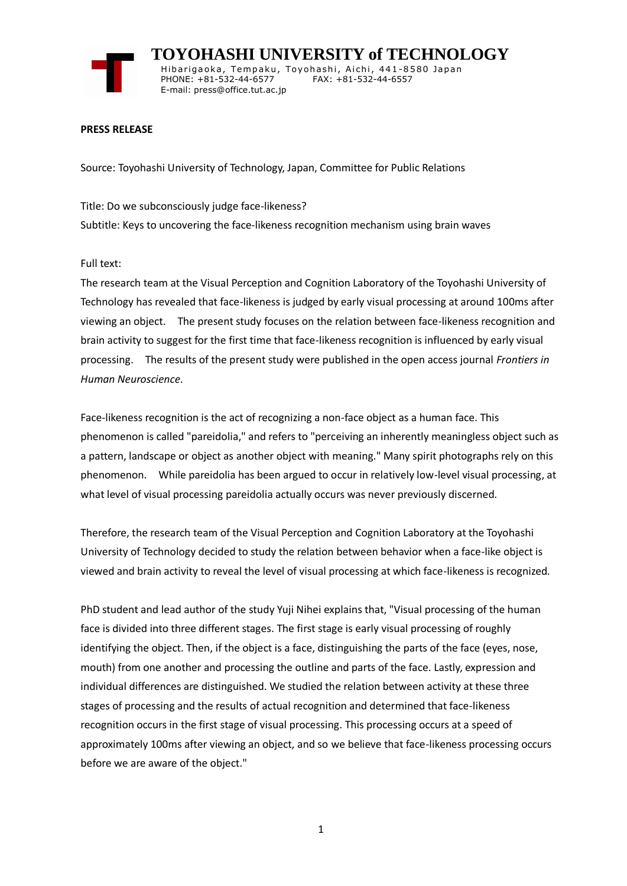

 **TOYOHASHI UNIVERSITY of TECHNOLOGY** Hibarigaoka, Tempaku, Toyohashi, Aichi, 441-8580 Japan PHONE: +81-532-44-6577 FAX: +81-532-44-6557 E-mail: press@office.tut.ac.jp

## **PRESS RELEASE**

Source: Toyohashi University of Technology, Japan, Committee for Public Relations

Title: Do we subconsciously judge face-likeness? Subtitle: Keys to uncovering the face-likeness recognition mechanism using brain waves

Full text:

The research team at the Visual Perception and Cognition Laboratory of the Toyohashi University of Technology has revealed that face-likeness is judged by early visual processing at around 100ms after viewing an object. The present study focuses on the relation between face-likeness recognition and brain activity to suggest for the first time that face-likeness recognition is influenced by early visual processing. The results of the present study were published in the open access journal *Frontiers in Human Neuroscience*.

Face-likeness recognition is the act of recognizing a non-face object as a human face. This phenomenon is called "pareidolia," and refers to "perceiving an inherently meaningless object such as a pattern, landscape or object as another object with meaning." Many spirit photographs rely on this phenomenon. While pareidolia has been argued to occur in relatively low-level visual processing, at what level of visual processing pareidolia actually occurs was never previously discerned.

Therefore, the research team of the Visual Perception and Cognition Laboratory at the Toyohashi University of Technology decided to study the relation between behavior when a face-like object is viewed and brain activity to reveal the level of visual processing at which face-likeness is recognized.

PhD student and lead author of the study Yuji Nihei explains that, "Visual processing of the human face is divided into three different stages. The first stage is early visual processing of roughly identifying the object. Then, if the object is a face, distinguishing the parts of the face (eyes, nose, mouth) from one another and processing the outline and parts of the face. Lastly, expression and individual differences are distinguished. We studied the relation between activity at these three stages of processing and the results of actual recognition and determined that face-likeness recognition occurs in the first stage of visual processing. This processing occurs at a speed of approximately 100ms after viewing an object, and so we believe that face-likeness processing occurs before we are aware of the object."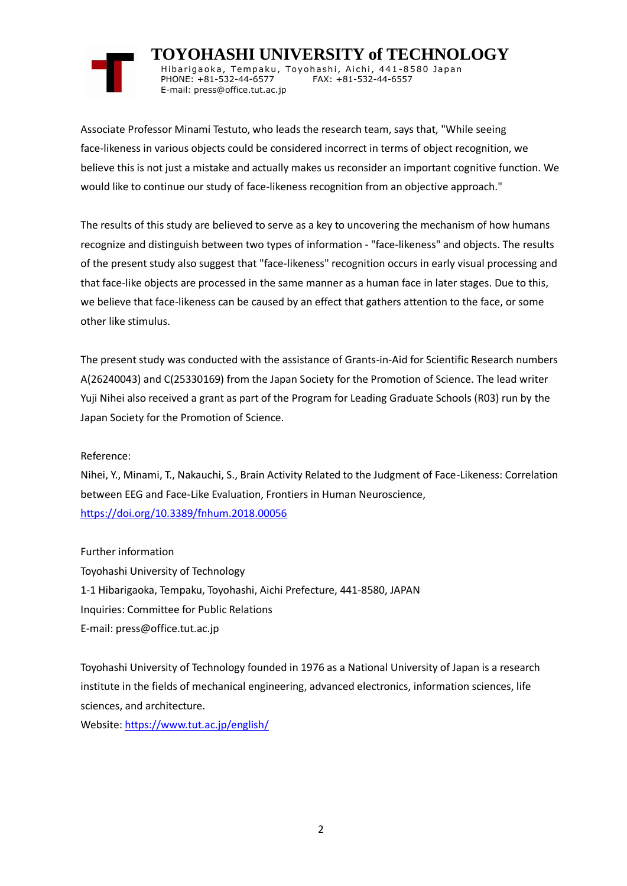

Hibarigaoka, Tempaku, Toyohashi, Aichi, 441-8580 Japan PHONE: +81-532-44-6577 FAX: +81-532-44-6557 E-mail: press@office.tut.ac.jp

Associate Professor Minami Testuto, who leads the research team, says that, "While seeing face-likeness in various objects could be considered incorrect in terms of object recognition, we believe this is not just a mistake and actually makes us reconsider an important cognitive function. We would like to continue our study of face-likeness recognition from an objective approach."

The results of this study are believed to serve as a key to uncovering the mechanism of how humans recognize and distinguish between two types of information - "face-likeness" and objects. The results of the present study also suggest that "face-likeness" recognition occurs in early visual processing and that face-like objects are processed in the same manner as a human face in later stages. Due to this, we believe that face-likeness can be caused by an effect that gathers attention to the face, or some other like stimulus.

The present study was conducted with the assistance of Grants-in-Aid for Scientific Research numbers A(26240043) and C(25330169) from the Japan Society for the Promotion of Science. The lead writer Yuji Nihei also received a grant as part of the Program for Leading Graduate Schools (R03) run by the Japan Society for the Promotion of Science.

Reference:

Nihei, Y., Minami, T., Nakauchi, S., Brain Activity Related to the Judgment of Face-Likeness: Correlation between EEG and Face-Like Evaluation, Frontiers in Human Neuroscience, <https://doi.org/10.3389/fnhum.2018.00056>

Further information Toyohashi University of Technology 1-1 Hibarigaoka, Tempaku, Toyohashi, Aichi Prefecture, 441-8580, JAPAN Inquiries: Committee for Public Relations E-mail: press@office.tut.ac.jp

Toyohashi University of Technology founded in 1976 as a National University of Japan is a research institute in the fields of mechanical engineering, advanced electronics, information sciences, life sciences, and architecture.

Website[: https://www.tut.ac.jp/english/](https://www.tut.ac.jp/english/)